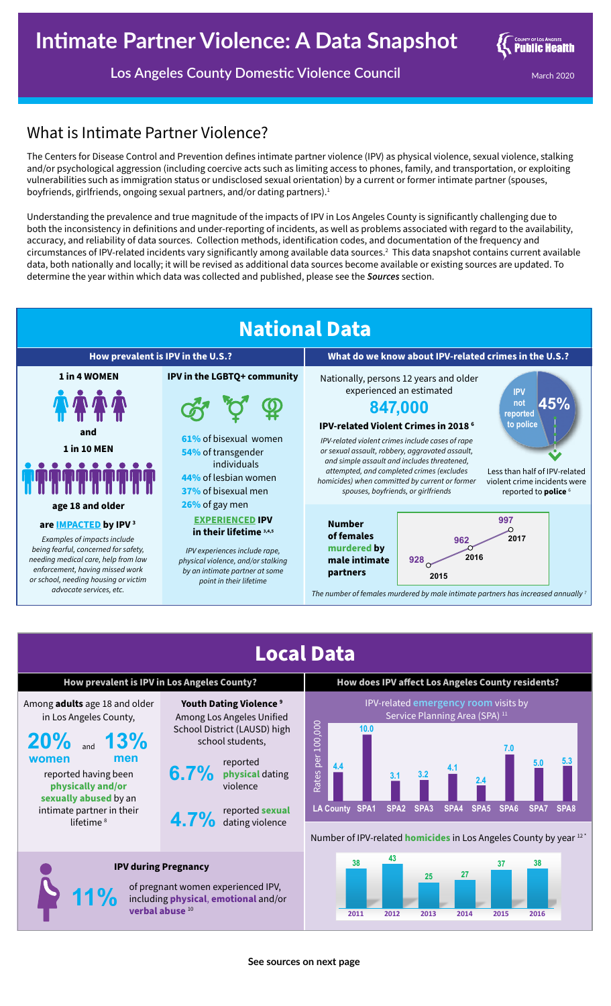

**Los Angeles County Domestic Violence Council** March 2020 March 2020

## What is Intimate Partner Violence?

lifetime<sup>8</sup>

**11%**

The Centers for Disease Control and Prevention defines intimate partner violence (IPV) as physical violence, sexual violence, stalking and/or psychological aggression (including coercive acts such as limiting access to phones, family, and transportation, or exploiting vulnerabilities such as immigration status or undisclosed sexual orientation) by a current or former intimate partner (spouses, boyfriends, girlfriends, ongoing sexual partners, and/or dating partners).<sup>1</sup>

Understanding the prevalence and true magnitude of the impacts of IPV in Los Angeles County is significantly challenging due to both the inconsistency in definitions and under-reporting of incidents, as well as problems associated with regard to the availability, accuracy, and reliability of data sources. Collection methods, identification codes, and documentation of the frequency and circumstances of IPV-related incidents vary significantly among available data sources.2 This data snapshot contains current available data, both nationally and locally; it will be revised as additional data sources become available or existing sources are updated. To determine the year within which data was collected and published, please see the *Sources* section.